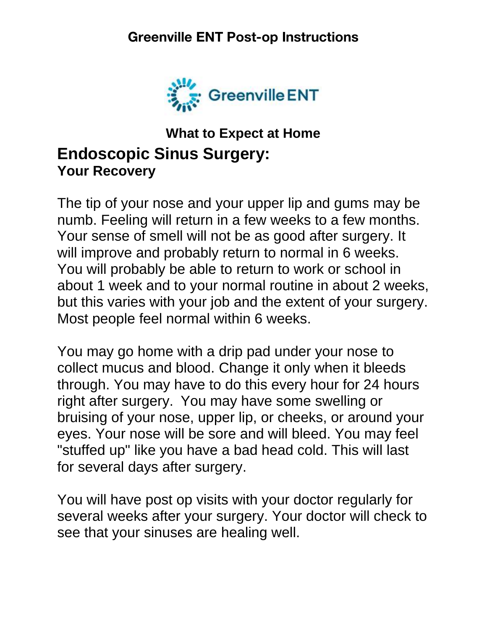

## **What to Expect at Home Endoscopic Sinus Surgery: Your Recovery**

The tip of your nose and your upper lip and gums may be numb. Feeling will return in a few weeks to a few months. Your sense of smell will not be as good after surgery. It will improve and probably return to normal in 6 weeks. You will probably be able to return to work or school in about 1 week and to your normal routine in about 2 weeks, but this varies with your job and the extent of your surgery. Most people feel normal within 6 weeks.

You may go home with a drip pad under your nose to collect mucus and blood. Change it only when it bleeds through. You may have to do this every hour for 24 hours right after surgery. You may have some swelling or bruising of your nose, upper lip, or cheeks, or around your eyes. Your nose will be sore and will bleed. You may feel "stuffed up" like you have a bad head cold. This will last for several days after surgery.

You will have post op visits with your doctor regularly for several weeks after your surgery. Your doctor will check to see that your sinuses are healing well.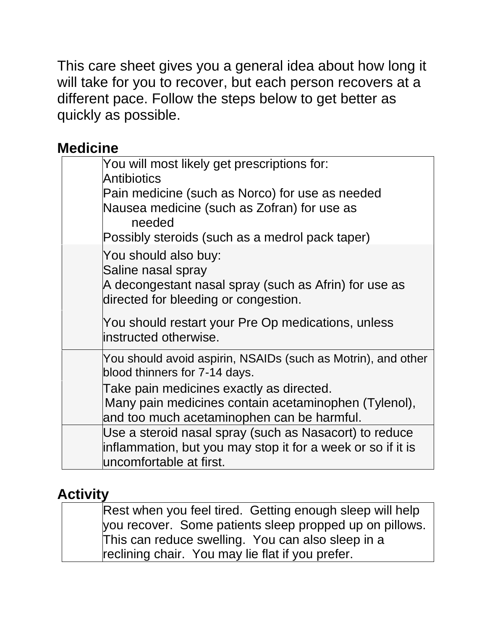This care sheet gives you a general idea about how long it will take for you to recover, but each person recovers at a different pace. Follow the steps below to get better as quickly as possible.

## **Medicine**

| You will most likely get prescriptions for:<br>Antibiotics<br>Pain medicine (such as Norco) for use as needed<br>Nausea medicine (such as Zofran) for use as<br>needed<br>Possibly steroids (such as a medrol pack taper) |
|---------------------------------------------------------------------------------------------------------------------------------------------------------------------------------------------------------------------------|
| You should also buy:<br>Saline nasal spray<br>A decongestant nasal spray (such as Afrin) for use as<br>directed for bleeding or congestion.                                                                               |
| You should restart your Pre Op medications, unless<br>linstructed otherwise.                                                                                                                                              |
| You should avoid aspirin, NSAIDs (such as Motrin), and other<br>blood thinners for 7-14 days.                                                                                                                             |
| Take pain medicines exactly as directed.<br>Many pain medicines contain acetaminophen (Tylenol),<br>and too much acetaminophen can be harmful.                                                                            |
| Use a steroid nasal spray (such as Nasacort) to reduce<br>inflammation, but you may stop it for a week or so if it is<br>luncomfortable at first.                                                                         |

# **Activity**

| Rest when you feel tired. Getting enough sleep will help |
|----------------------------------------------------------|
| vou recover. Some patients sleep propped up on pillows.  |
| This can reduce swelling. You can also sleep in a        |
| reclining chair. You may lie flat if you prefer.         |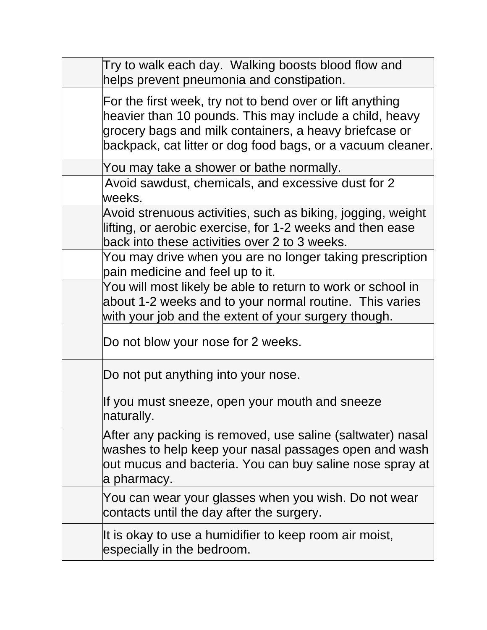| Try to walk each day. Walking boosts blood flow and<br>helps prevent pneumonia and constipation.                                                                                                                                              |
|-----------------------------------------------------------------------------------------------------------------------------------------------------------------------------------------------------------------------------------------------|
| For the first week, try not to bend over or lift anything<br>heavier than 10 pounds. This may include a child, heavy<br>grocery bags and milk containers, a heavy briefcase or<br>backpack, cat litter or dog food bags, or a vacuum cleaner. |
| You may take a shower or bathe normally.                                                                                                                                                                                                      |
| Avoid sawdust, chemicals, and excessive dust for 2<br>weeks.                                                                                                                                                                                  |
| Avoid strenuous activities, such as biking, jogging, weight<br>lifting, or aerobic exercise, for 1-2 weeks and then ease<br>back into these activities over 2 to 3 weeks.                                                                     |
| You may drive when you are no longer taking prescription<br>pain medicine and feel up to it.                                                                                                                                                  |
| You will most likely be able to return to work or school in<br>about 1-2 weeks and to your normal routine. This varies<br>with your job and the extent of your surgery though.                                                                |
| Do not blow your nose for 2 weeks.                                                                                                                                                                                                            |
| Do not put anything into your nose.                                                                                                                                                                                                           |
| If you must sneeze, open your mouth and sneeze<br>naturally.                                                                                                                                                                                  |
| After any packing is removed, use saline (saltwater) nasal<br>washes to help keep your nasal passages open and wash<br>out mucus and bacteria. You can buy saline nose spray at<br>a pharmacy.                                                |
| You can wear your glasses when you wish. Do not wear<br>contacts until the day after the surgery.                                                                                                                                             |
| It is okay to use a humidifier to keep room air moist,<br>especially in the bedroom.                                                                                                                                                          |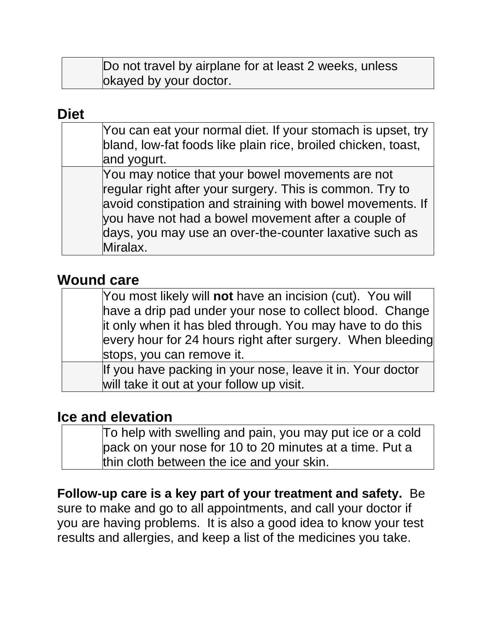| Do not travel by airplane for at least 2 weeks, unless |  |
|--------------------------------------------------------|--|
| okayed by your doctor.                                 |  |

#### **Diet**

| You can eat your normal diet. If your stomach is upset, try<br>bland, low-fat foods like plain rice, broiled chicken, toast,<br>and yogurt.                                                                                                                                                            |
|--------------------------------------------------------------------------------------------------------------------------------------------------------------------------------------------------------------------------------------------------------------------------------------------------------|
| You may notice that your bowel movements are not<br>regular right after your surgery. This is common. Try to<br>avoid constipation and straining with bowel movements. If<br>you have not had a bowel movement after a couple of<br>days, you may use an over-the-counter laxative such as<br>Miralax. |

### **Wound care**

| You most likely will not have an incision (cut). You will  |
|------------------------------------------------------------|
| have a drip pad under your nose to collect blood. Change   |
| it only when it has bled through. You may have to do this  |
| every hour for 24 hours right after surgery. When bleeding |
| stops, you can remove it.                                  |
| If you have packing in your nose, leave it in. Your doctor |
| will take it out at your follow up visit.                  |

#### **Ice and elevation**

| To help with swelling and pain, you may put ice or a cold |
|-----------------------------------------------------------|
| pack on your nose for 10 to 20 minutes at a time. Put a   |
| thin cloth between the ice and your skin.                 |

## **Follow-up care is a key part of your treatment and safety.** Be

sure to make and go to all appointments, and call your doctor if you are having problems. It is also a good idea to know your test results and allergies, and keep a list of the medicines you take.